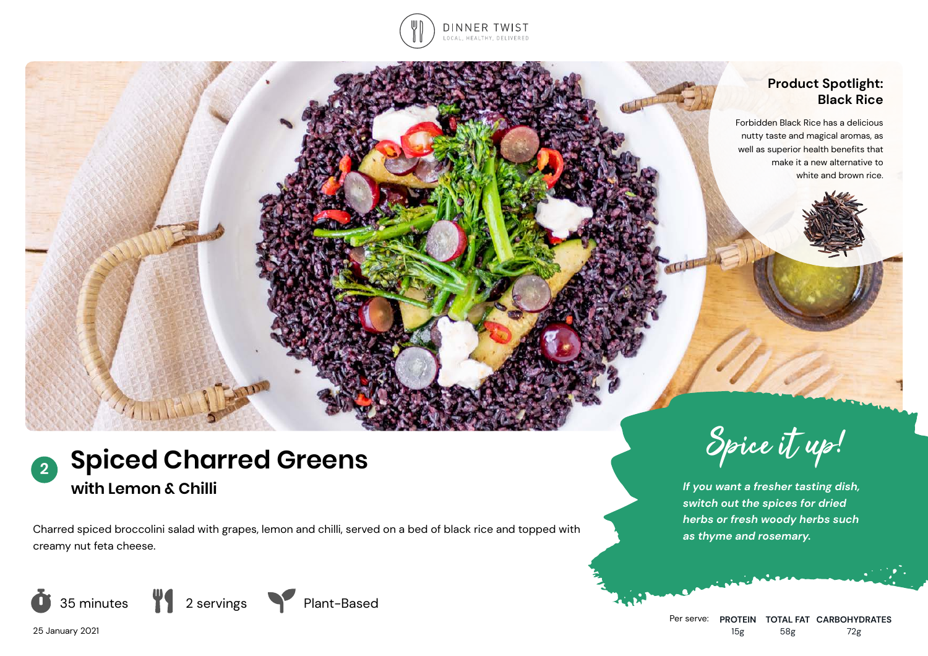

### **Product Spotlight: Black Rice**

Forbidden Black Rice has a delicious nutty taste and magical aromas, as well as superior health benefits that make it a new alternative to white and brown rice.



*as thyme and rosemary.* Charred spiced broccolini salad with grapes, lemon and chilli, served on a bed of black rice and topped with creamy nut feta cheese.









*If you want a fresher tasting dish, switch out the spices for dried herbs or fresh woody herbs such*